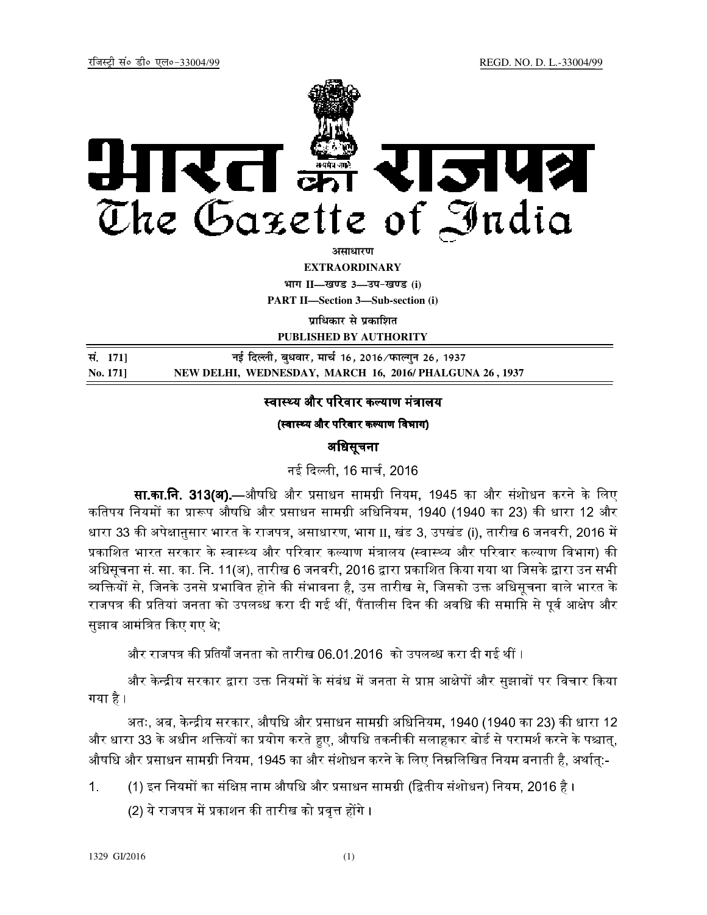

<u>असाधारण</u>

**EXTRAORDINARY**

 $4$  HT  $11$ —<br>*II*  $-$  *II*  $-$  *III*  $3$   $-$  34- *II*  $-$  *III*  $-$  *III*  $-$  *II*  $-$  *II*  $-$  *II*  $-$  *II*  $-$  *II*  $-$  *II*  $-$  *II*  $-$  *II*  $-$  *II*  $-$  *II*  $-$  *II*  $-$  *II*  $-$  *II*  $-$  *II*  $-$  *II*  $-$  *II* **PART II—Section 3—Sub-section (i)** 

**पाधिकार से प्रकाशित** 

**PUBLISHED BY AUTHORITY**

| सं. 1711       | नई दिल्ली, बुधवार, मार्च 16, 2016 ∕ फाल्गुन 26, 1937   |
|----------------|--------------------------------------------------------|
| <b>No.</b> 171 | NEW DELHI, WEDNESDAY, MARCH 16, 2016/PHALGUNA 26, 1937 |

# स्वास्थ्य और परिवार कल्याण मंत्रालय

(स्वास्थ्य और परिवार कल्याण विभाग)

## अधिसूचना

नई दली, 16 माच, 2016

**सा.का.नि. 313(अ).—**औषधि और प्रसाधन सामग्री नियम, 1945 का और संशोधन करने के लिए कतिपय नियमों का प्रारूप औषधि और प्रसाधन सामग्री अधिनियम, 1940 (1940 का 23) की धारा 12 और धारा 33 की अपेक्षानुसार भारत के राजपत्र, असाधारण, भाग II, खंड 3, उपखंड (i), तारीख 6 जनवरी, 2016 में प्रकाशित भारत सरकार के स्वास्थ्य और परिवार कल्याण मंत्रालय (स्वास्थ्य और परिवार कल्याण विभाग) की अधिसूचना सं. सा. का. नि. 11(अ), तारीख 6 जनवरी, 2016 द्वारा प्रकाशित किया गया था जिसके द्वारा उन सभी व्यक्तियों से, जिनके उनसे प्रभावित होने की संभावना है, उस तारीख से, जिसको उक्त अधिसूचना वाले भारत के राजपत्र की प्रतियां जनता को उपलब्ध करा दी गई थीं, पैंतालीस दिन की अवधि की समाप्ति से पूर्व आक्षेप और सुझाव आमंत्रित किए गए थे;

और राजपत्र की प्रतियाँ जनता को तारीख 06.01.2016 को उपलब्ध करा दी गई थीं ।

और केन्द्रीय सरकार द्वारा उक्त नियमों के संबंध में जनता से प्राप्त आक्षेपों और सुझावों पर विचार किया गया है ।

अतः, अब, केन्द्रीय सरकार, औषधि और प्रसाधन सामग्री अधिनियम, 1940 (1940 का 23) की धारा 12 और धारा 33 के अधीन शक्तियों का प्रयोग करते हुए, औषधि तकनीकी सलाहकार बोर्ड से परामर्श करने के पश्चात्, औषधि और प्रसाधन सामग्री नियम, 1945 का और संशोधन करने के लिए निम्नलिखित नियम बनाती है, अर्थात्:-

1. (1) इन नियमों का संक्षिप्त नाम औषधि और प्रसाधन सामग्री (द्वितीय संशोधन) नियम, 2016 है ।

(2) ये राजपत्र में प्रकाशन की तारीख को प्रवृत्त होंगे ।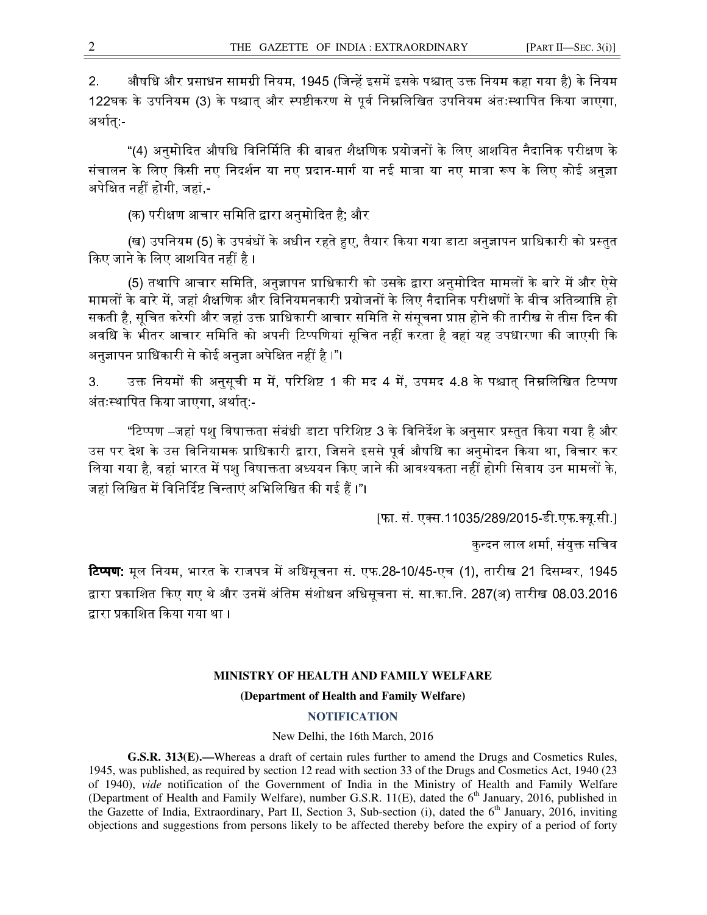2. अौषधि और प्रसाधन सामग्री नियम, 1945 (जिन्हें इसमें इसके पश्चात् उक्त नियम कहा गया है) के नियम 122घक के उपनियम (3) के पश्चात् और स्पष्टीकरण से पूर्व निम्नलिखित उपनियम अंतःस्थापित किया जाएगा, अथात्:-

"(4) अनुमोदित औषधि विनिर्मिति की बाबत शैक्षणिक प्रयोजनों के लिए आशयित नैदानिक परीक्षण के संचालन के लिए किसी नए निदर्शन या नए प्रदान-मार्ग या नई मात्रा या नए मात्रा रूप के लिए कोई अनुज्ञा अपेक्षित नहीं होगी, जहां,-

(क) परीक्षण आचार समिति द्वारा अनुमोदित है; और

(ख) उपनियम (5) के उपबंधों के अधीन रहते हुए, तैयार किया गया डाटा अनुज्ञापन प्राधिकारी को प्रस्तुत किए जाने के लिए आशयित नहीं है ।

(5) तथापि आचार समिति, अनुज्ञापन प्राधिकारी को उसके द्वारा अनुमोदित मामलों के बारे में और ऐसे मामलों के बारे में, जहां शैक्षणिक और विनियमनकारी प्रयोजनों के लिए नैदानिक परीक्षणों के बीच अतिव्याप्ति हो सकती है, सूचित करेगी और जहां उक्त प्राधिकारी आचार समिति से संसूचना प्राप्त होने की तारीख से तीस दिन की अवधि के भीतर आचार समिति को अपनी टिप्पणियां सूचित नहीं करता है वहां यह उपधारणा की जाएगी कि अनुज्ञापन प्राधिकारी से कोई अनुज्ञा अपेक्षित नहीं है ।"।

3. उक्त नियमों की अनुसूची म में, परिशिष्ट 1 की मद 4 में, उपमद 4.8 के पश्चात् निम्नलिखित टिप्पण अंतः7थािपत कया जाएगा, अथात्:-

"टिप्पण –जहां पशु विषाक्तता संबंधी डाटा परिशिष्ट 3 के विनिर्देश के अनुसार प्रस्तुत किया गया है और उस पर देश के उस विनियामक प्राधिकारी द्वारा, जिसने इससे पूर्व औषधि का अनुमोदन किया था, विचार कर लिया गया है, वहां भारत में पशु विषाक्तता अध्ययन किए जाने की आवश्यकता नहीं होगी सिवाय उन मामलों के, जहां लिखित में विनिर्दिष्ट चिन्ताएं अभिलिखित की गई हैं ।"।

[फा. सं. एक्स.11035/289/2015-डी.एफ.क्यू.सी.]

कन्दन लाल शर्मा, संयुक्त सचिव

**टिप्पण:** मूल नियम, भारत के राजपत्र में अधिसूचना सं. एफ.28-10/45-एच (1), तारीख 21 दिसम्बर, 1945 द्वारा प्रकाशित किए गए थे और उनमें अंतिम संशोधन अधिसूचना सं. सा.का.नि. 287(अ) तारीख 08.03.2016 :ारा कािशत कया गया था ।

### **MINISTRY OF HEALTH AND FAMILY WELFARE**

#### **(Department of Health and Family Welfare)**

#### **NOTIFICATION**

#### New Delhi, the 16th March, 2016

**G.S.R. 313(E).—**Whereas a draft of certain rules further to amend the Drugs and Cosmetics Rules, 1945, was published, as required by section 12 read with section 33 of the Drugs and Cosmetics Act, 1940 (23 of 1940), *vide* notification of the Government of India in the Ministry of Health and Family Welfare (Department of Health and Family Welfare), number G.S.R. 11(E), dated the 6<sup>th</sup> January, 2016, published in the Gazette of India, Extraordinary, Part II, Section 3, Sub-section (i), dated the  $6<sup>th</sup>$  January, 2016, inviting objections and suggestions from persons likely to be affected thereby before the expiry of a period of forty